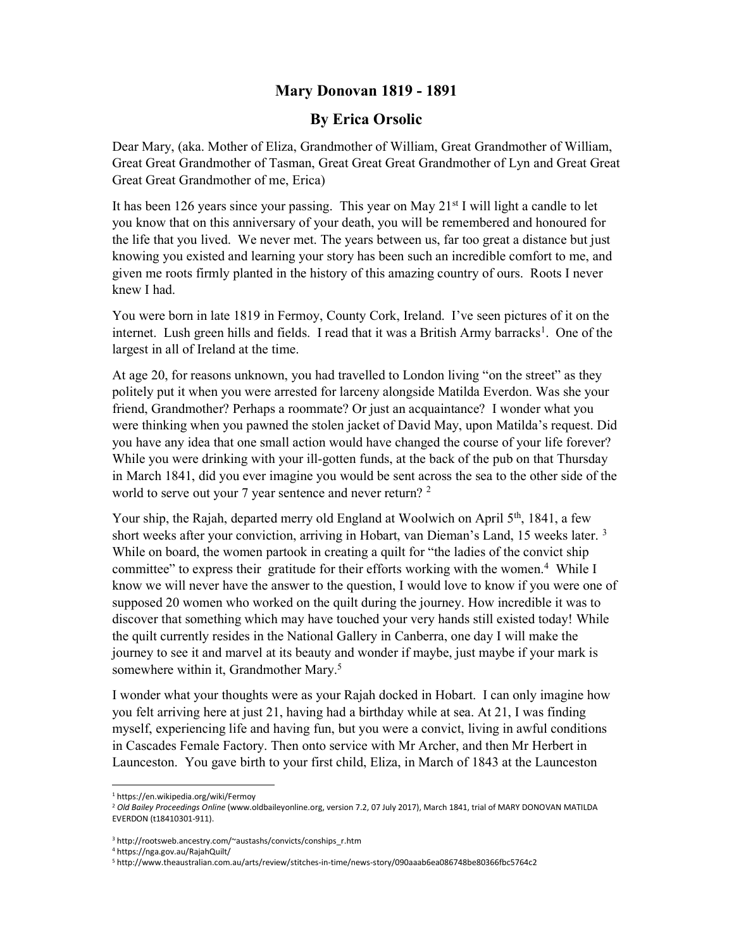## Mary Donovan 1819 - 1891

## By Erica Orsolic

Dear Mary, (aka. Mother of Eliza, Grandmother of William, Great Grandmother of William, Great Great Grandmother of Tasman, Great Great Great Grandmother of Lyn and Great Great Great Great Grandmother of me, Erica)

It has been 126 years since your passing. This year on May  $21<sup>st</sup>$  I will light a candle to let you know that on this anniversary of your death, you will be remembered and honoured for the life that you lived. We never met. The years between us, far too great a distance but just knowing you existed and learning your story has been such an incredible comfort to me, and given me roots firmly planted in the history of this amazing country of ours. Roots I never knew I had.

You were born in late 1819 in Fermoy, County Cork, Ireland. I've seen pictures of it on the internet. Lush green hills and fields. I read that it was a British Army barracks<sup>1</sup>. One of the largest in all of Ireland at the time.

At age 20, for reasons unknown, you had travelled to London living "on the street" as they politely put it when you were arrested for larceny alongside Matilda Everdon. Was she your friend, Grandmother? Perhaps a roommate? Or just an acquaintance? I wonder what you were thinking when you pawned the stolen jacket of David May, upon Matilda's request. Did you have any idea that one small action would have changed the course of your life forever? While you were drinking with your ill-gotten funds, at the back of the pub on that Thursday in March 1841, did you ever imagine you would be sent across the sea to the other side of the world to serve out your 7 year sentence and never return?  $2^2$ 

Your ship, the Rajah, departed merry old England at Woolwich on April  $5<sup>th</sup>$ , 1841, a few short weeks after your conviction, arriving in Hobart, van Dieman's Land, 15 weeks later.<sup>3</sup> While on board, the women partook in creating a quilt for "the ladies of the convict ship committee" to express their gratitude for their efforts working with the women.<sup>4</sup> While I know we will never have the answer to the question, I would love to know if you were one of supposed 20 women who worked on the quilt during the journey. How incredible it was to discover that something which may have touched your very hands still existed today! While the quilt currently resides in the National Gallery in Canberra, one day I will make the journey to see it and marvel at its beauty and wonder if maybe, just maybe if your mark is somewhere within it, Grandmother Mary.<sup>5</sup>

I wonder what your thoughts were as your Rajah docked in Hobart. I can only imagine how you felt arriving here at just 21, having had a birthday while at sea. At 21, I was finding myself, experiencing life and having fun, but you were a convict, living in awful conditions in Cascades Female Factory. Then onto service with Mr Archer, and then Mr Herbert in Launceston. You gave birth to your first child, Eliza, in March of 1843 at the Launceston

1

<sup>1</sup> https://en.wikipedia.org/wiki/Fermoy

<sup>&</sup>lt;sup>2</sup> Old Bailey Proceedings Online (www.oldbaileyonline.org, version 7.2, 07 July 2017), March 1841, trial of MARY DONOVAN MATILDA EVERDON (t18410301-911).

<sup>3</sup> http://rootsweb.ancestry.com/~austashs/convicts/conships\_r.htm

<sup>4</sup> https://nga.gov.au/RajahQuilt/

<sup>5</sup> http://www.theaustralian.com.au/arts/review/stitches-in-time/news-story/090aaab6ea086748be80366fbc5764c2